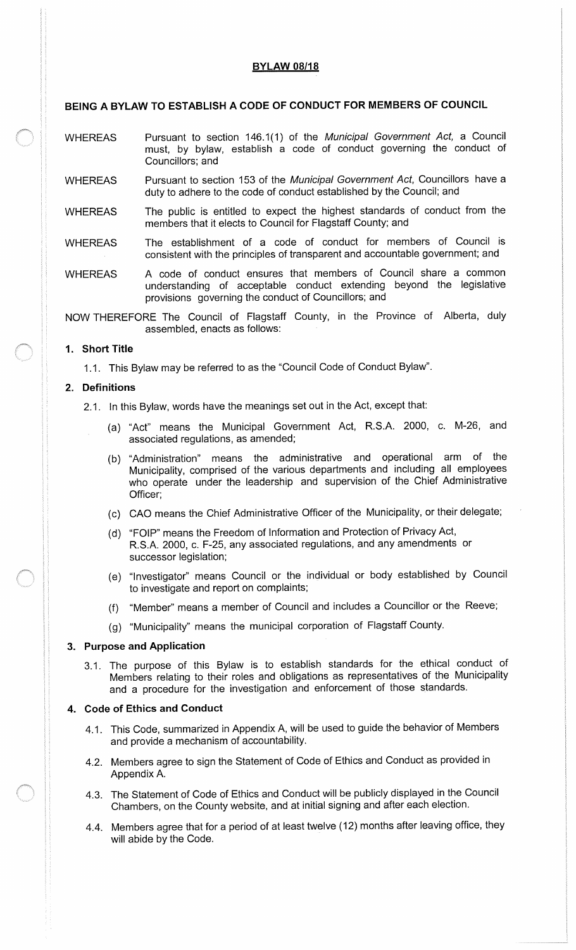# **BYLAW 08/18**

# BEING A BYLAW TO ESTABLISH A CODE OF CONDUCT FOR MEMBERS OF COUNCIL

- WHEREAS Pursuant to section 146.1(1) of the Municipal Government Act, a Council must, by bylaw, establish a code of conduct governing the conduct of Councillors; and
- WHEREAS Pursuant to section 153 of the Municipal Government Act, Councillors have a duty to adhere to the code of conduct established by the Council; and
- WHEREAS The public is entitled to expect the highest standards of conduct from the members that it elects to Council for Flagstaff County; and
- WHEREAS The establishment of <sup>a</sup> code of conduct for members of Council is consistent with the principles of transparent and accountable government; and
- WHEREAS A code of conduct ensures that members of Council share a common understanding of acceptable conduct extending beyond the legislative provisions governing the conduct of Councillors; and

NOW THEREFORE The Council of Flagstaff County, in the Province of Alberta, duly assembled, enacts as follows:

# 1. Short Title

1. 1. This Bylaw may be referred to as the " Council Code of Conduct Bylaw".

# 2. Definitions

- 2.1. In this Bylaw, words have the meanings set out in the Act, except that:
	- (a) "Act" means the Municipal Government Act, R.S.A. 2000, c. M-26, and associated regulations, as amended;
	- b) " Administration" means the administrative and operational arm of the Municipality, comprised of the various departments and including all employees who operate under the leadership and supervision of the Chief Administrative Officer;
	- c) CAO means the Chief Administrative Officer of the Municipality, or their delegate;
	- d) " FOIP" means the Freedom of Information and Protection of Privacy Act, R.S.A. 2000, c. F-25, any associated regulations, and any amendments or successor legislation;
	- e) " Investigator" means Council or the individual or body established by Council to investigate and report on complaints;
	- "Member" means a member of Council and includes a Councillor or the Reeve;
	- g) Municipality" means the municipal corporation of Flagstaff County.

# 3. Purpose and Application

3. 1. The purpose of this Bylaw is to establish standards for the ethical conduct of Members relating to their roles and obligations as representatives of the Municipality and a procedure for the investigation and enforcement of those standards.

# 4. Code of Ethics and Conduct

- 4.1. This Code, summarized in Appendix A, will be used to guide the behavior of Members and provide a mechanism of accountability.
- 4. 2. Members agree to sign the Statement of Code of Ethics and Conduct as provided in Appendix A.
- 4. 3. The Statement of Code of Ethics and Conduct will be publicly displayed in the Council Chambers, on the County website, and at initial signing and after each election.
- 4. 4. Members agree that for a period of at least twelve ( 12) months after leaving office, they will abide by the Code.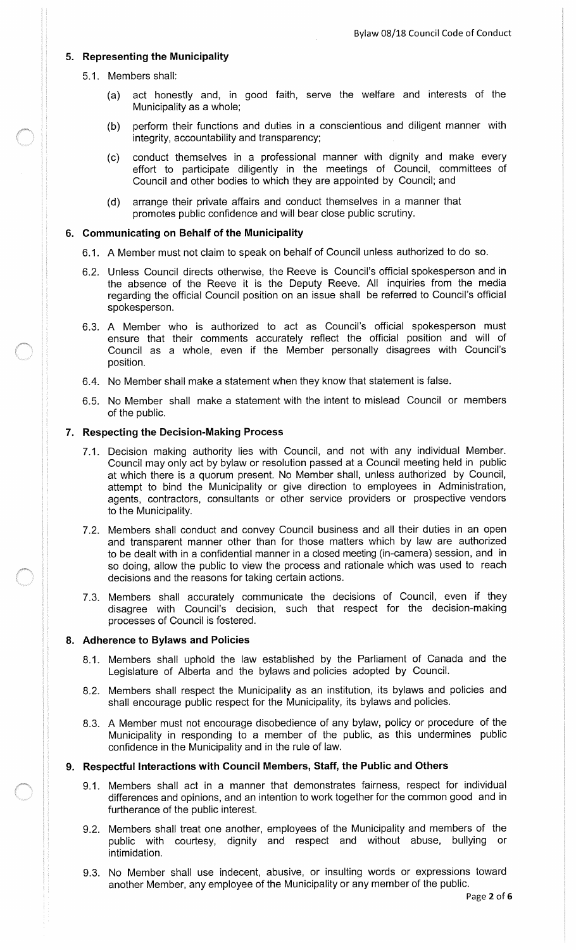# 5. Representing the Municipality

- 5. 1. Members shall:
	- a) act honestly and, in good faith, serve the welfare and interests of the Municipality as a whole;
	- b) perform their functions and duties in a conscientious and diligent manner with integrity, accountability and transparency;
	- c) conduct themselves in a professional manner with dignity and make every effort to participate diligently in the meetings of Council, committees of Council and other bodies to which they are appointed by Council; and
	- d) arrange their private affairs and conduct themselves in a manner that promotes public confidence and will bear close public scrutiny.

#### 6. Communicating on Behalf of the Municipality

- 6. 1. A Member must not claim to speak on behalf of Council unless authorized to do so.
- 6.2. Unless Council directs otherwise, the Reeve is Council's official spokesperson and in the absence of the Reeve it is the Deputy Reeve. All inquiries from the media regarding the official Council position on an issue shall be referred to Council's official spokesperson.
- 6.3. A Member who is authorized to act as Council's official spokesperson must ensure that their comments accurately reflect the official position and will of Council as a whole, even if the Member personally disagrees with Council's position.
- 6. 4. No Member shall make a statement when they know that statement is false.
- 6. 5. No Member shall make a statement with the intent to mislead Council or members of the public.

#### 7. Respecting the Decision -Making Process

- 7.1. Decision making authority lies with Council, and not with any individual Member. Council may only act by bylaw or resolution passed at a Council meeting held in public at which there is a quorum present. No Member shall, unless authorized by Council, attempt to bind the Municipality or give direction to employees in Administration, agents, contractors, consultants or other service providers or prospective vendors to the Municipality.
- 7.2. Members shall conduct and convey Council business and all their duties in an open and transparent manner other than for those matters which by law are authorized to be dealt with in a confidential manner in a closed meeting (in-camera) session, and in so doing, allow the public to view the process and rationale which was used to reach decisions and the reasons for taking certain actions.
- 7. 3. Members shall accurately communicate the decisions of Council, even if they disagree with Council's decision, such that respect for the decision-making processes of Council is fostered.

#### 8. Adherence to Bylaws and Policies

- 8.1. Members shall uphold the law established by the Parliament of Canada and the Legislature of Alberta and the bylaws and policies adopted by Council.
- 8. 2. Members shall respect the Municipality as an institution, its bylaws and policies and shall encourage public respect for the Municipality, its bylaws and policies.
- 8. 3. A Member must not encourage disobedience of any bylaw, policy or procedure of the Municipality in responding to <sup>a</sup> member of the public, as this undermines public confidence in the Municipality and in the rule of law.

# 9. Respectful Interactions with Council Members, Staff, the Public and Others

- 9.1. Members shall act in a manner that demonstrates fairness, respect for individual differences and opinions, and an intention to work together for the common good and in furtherance of the public interest.
- 9.2. Members shall treat one another, employees of the Municipality and members of the public with courtesy, dignity and respect and without abuse, bullying or intimidation.
- 9.3. No Member shall use indecent, abusive, or insulting words or expressions toward another Member, any employee of the Municipality or any member of the public.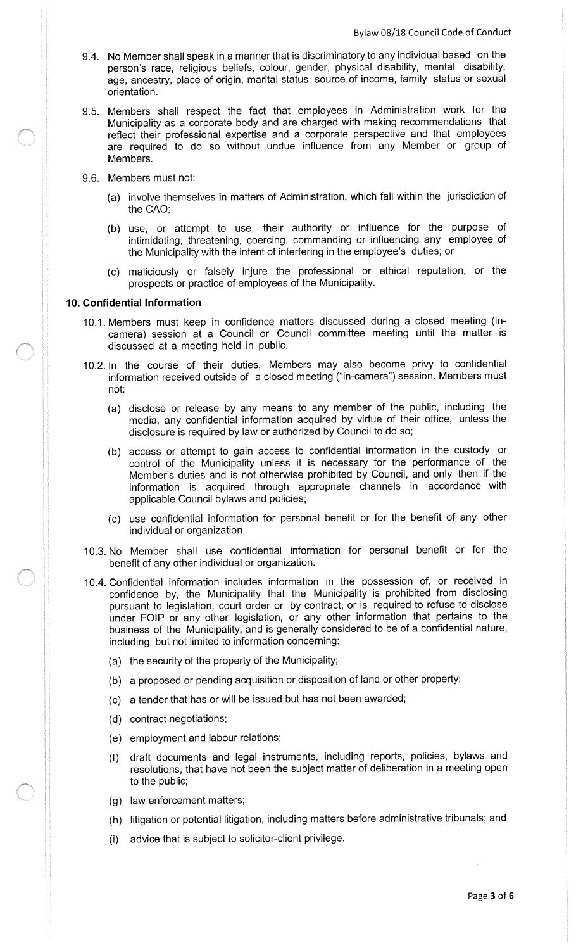- 9. 4. No Member shall speak in a manner that is discriminatory to any individual based on the person's race, religious beliefs, colour, gender, physical disability, mental disability, age, ancestry, place of origin, marital status, source of income, family status or sexual orientation.
- 9.5. Members shall respect the fact that employees in Administration work for the Municipality as a corporate body and are charged with making recommendations that reflect their professional expertise and a corporate perspective and that employees are required to do so without undue influence from any Member or group of Members.
- 9.6. Members must not:
	- a) involve themselves in matters of Administration, which fall within the jurisdiction of the CAO;
	- b) use, or attempt to use, their authority or influence for the purpose of intimidating, threatening, coercing, commanding or influencing any employee of the Municipality with the intent of interfering in the employee's duties; or
	- c) maliciously or falsely injure the professional or ethical reputation, or the prospects or practice of employees of the Municipality.

## 10. Confidential Information

- 10.1. Members must keep in confidence matters discussed during a closed meeting (incamera) session at a Council or Council committee meeting until the matter is discussed at a meeting held in public.
- 10.2. In the course of their duties, Members may also become privy to confidential information received outside of a closed meeting ("in-camera") session. Members must not:
	- a) disclose or release by any means to any member of the public, including the media, any confidential information acquired by virtue of their office, unless the disclosure is required by law or authorized by Council to do so;
	- b) access or attempt to gain access to confidential information in the custody or control of the Municipality unless it is necessary for the performance of the Member's duties and is not otherwise prohibited by Council, and only then if the information is acquired through appropriate channels in accordance with applicable Council bylaws and policies;
	- c) use confidential information for personal benefit or for the benefit of any other individual or organization.
- 10. 3. No Member shall use confidential information for personal benefit or for the benefit of any other individual or organization.
- 10. 4. Confidential information includes information in the possession of, or received in confidence by, the Municipality that the Municipality is prohibited from disclosing pursuant to legislation, court order or by contract, or is required to refuse to disclose under FOIP or any other legislation, or any other information that pertains to the business of the Municipality, and is generally considered to be of a confidential nature, including but not limited to information concerning:
	- a) the security of the property of the Municipality;
	- b) a proposed or pending acquisition or disposition of land or other property;
	- c) a tender that has or will be issued but has not been awarded;
	- d) contract negotiations;
	- e) employment and labour relations;
	- f) draft documents and legal instruments, including reports, policies, bylaws and resolutions, that have not been the subject matter of deliberation in a meeting open to the public;
	- (g) law enforcement matters;
	- (h) litigation or potential litigation, including matters before administrative tribunals; and
	- advice that is subject to solicitor -client privilege.  $(i)$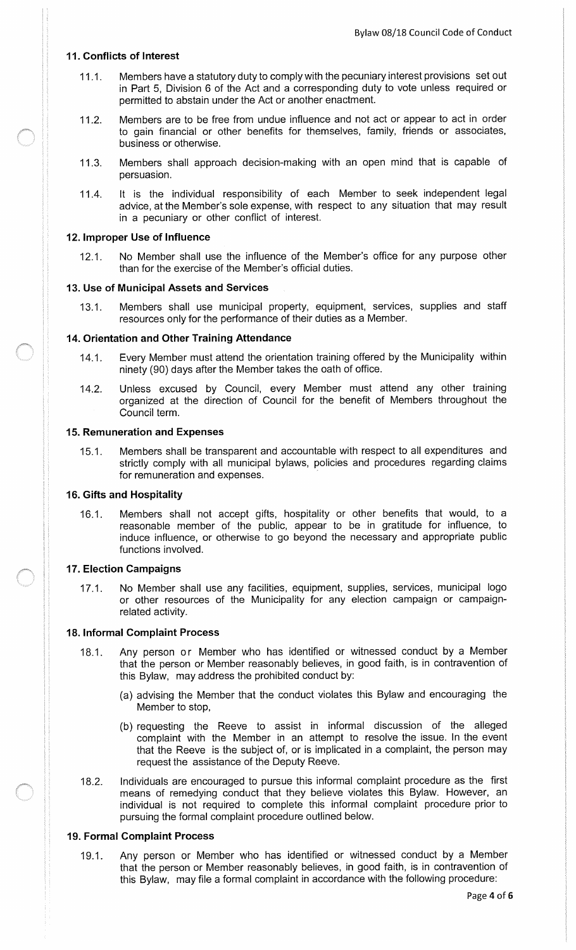## 11. Conflicts of Interest

- 11.1. Members have a statutory duty to comply with the pecuniary interest provisions set out in Part 5, Division 6 of the Act and a corresponding duty to vote unless required or permitted to abstain under the Act or another enactment.
- 11.2. Members are to be free from undue influence and not act or appear to act in order to gain financial or other benefits for themselves, family, friends or associates, business or otherwise.
- 11.3. Members shall approach decision-making with an open mind that is capable of persuasion.
- 11.4. It is the individual responsibility of each Member to seek independent legal advice, at the Member's sole expense, with respect to any situation that may result in a pecuniary or other conflict of interest.

#### 12. Improper Use of Influence

12.1. No Member shall use the influence of the Member's office for any purpose other than for the exercise of the Member's official duties.

## 13. Use of Municipal Assets and Services

13.1. Members shall use municipal property, equipment, services, supplies and staff resources only for the performance of their duties as a Member.

## 14. Orientation and Other Training Attendance

- 14.1. Every Member must attend the orientation training offered by the Municipality within ninety ( 90) days after the Member takes the oath of office.
- 14.2. Unless excused by Council, every Member must attend any other training organized at the direction of Council for the benefit of Members throughout the Council term.

## 15. Remuneration and Expenses

15.1. Members shall be transparent and accountable with respect to all expenditures and strictly comply with all municipal bylaws, policies and procedures regarding claims for remuneration and expenses.

## 16. Gifts and Hospitality

16.1. Members shall not accept gifts, hospitality or other benefits that would, to a reasonable member of the public, appear to be in gratitude for influence, to induce influence, or otherwise to go beyond the necessary and appropriate public functions involved.

# 17. Election Campaigns

17.1. No Member shall use any facilities, equipment, supplies, services, municipal logo or other resources of the Municipality for any election campaign or campaignrelated activity.

#### 18. Informal Complaint Process

- 18.1. Any person or Member who has identified or witnessed conduct by a Member that the person or Member reasonably believes, in good faith, is in contravention of this Bylaw, may address the prohibited conduct by:
	- a) advising the Member that the conduct violates this Bylaw and encouraging the Member to stop,
	- b) requesting the Reeve to assist in informal discussion of the alleged complaint with the Member in an attempt to resolve the issue. In the event that the Reeve is the subject of, or is implicated in a complaint, the person may request the assistance of the Deputy Reeve.
- 18.2. Individuals are encouraged to pursue this informal complaint procedure as the first means of remedying conduct that they believe violates this Bylaw. However, an individual is not required to complete this informal complaint procedure prior to pursuing the formal complaint procedure outlined below.

# 19. Formal Complaint Process

19.1. Any person or Member who has identified or witnessed conduct by a Member that the person or Member reasonably believes, in good faith, is in contravention of this Bylaw, may file a formal complaint in accordance with the following procedure: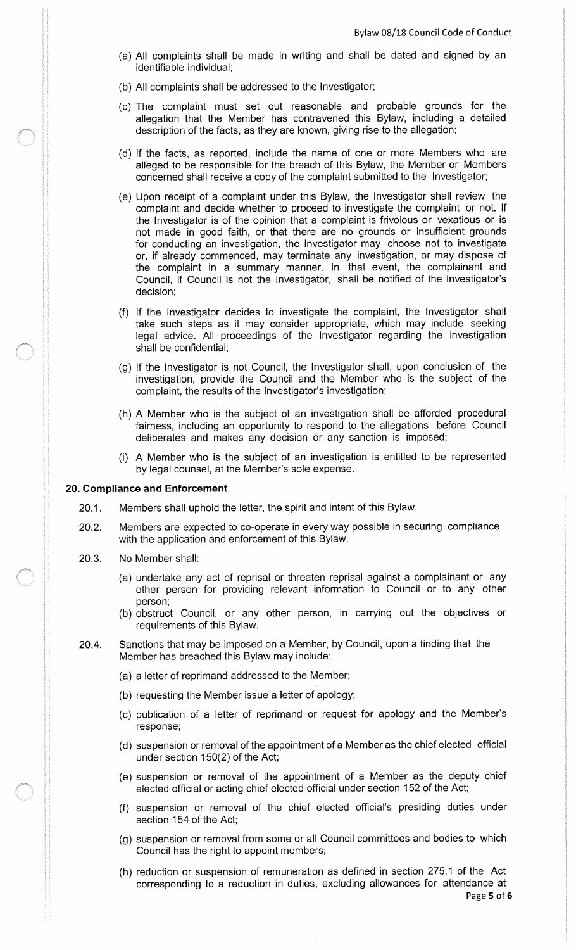- a) All complaints shall be made in writing and shall be dated and signed by an identifiable individual;
- b) All complaints shall be addressed to the Investigator;
- c) The complaint must set out reasonable and probable grounds for the allegation that the Member has contravened this Bylaw, including a detailed description of the facts, as they are known, giving rise to the allegation;
- d) If the facts, as reported, include the name of one or more Members who are alleged to be responsible for the breach of this Bylaw, the Member or Members concerned shall receive a copy of the complaint submitted to the Investigator;
- e) Upon receipt of a complaint under this Bylaw, the Investigator shall review the complaint and decide whether to proceed to investigate the complaint or not. If the Investigator is of the opinion that a complaint is frivolous or vexatious or is not made in good faith, or that there are no grounds or insufficient grounds for conducting an investigation, the Investigator may choose not to investigate or, if already commenced, may terminate any investigation, or may dispose of the complaint in <sup>a</sup> summary manner. In that event, the complainant and Council, if Council is not the Investigator, shall be notified of the Investigator's decision;
- f) If the Investigator decides to investigate the complaint, the Investigator shall take such steps as it may consider appropriate, which may include seeking legal advice. All proceedings of the Investigator regarding the investigation shall be confidential;
- g) If the Investigator is not Council, the Investigator shall, upon conclusion of the investigation, provide the Council and the Member who is the subject of the complaint, the results of the Investigator's investigation;
- h) A Member who is the subject of an investigation shall be afforded procedural fairness, including an opportunity to respond to the allegations before Council deliberates and makes any decision or any sanction is imposed;
- i) A Member who is the subject of an investigation is entitled to be represented by legal counsel, at the Member's sole expense.

## 20. Compliance and Enforcement

- 20.1. Members shall uphold the letter, the spirit and intent of this Bylaw.
- 20.2. Members are expected to co-operate in every way possible in securing compliance with the application and enforcement of this Bylaw.
- 20.3. No Member shall:
	- a) undertake any act of reprisal or threaten reprisal against a complainant or any other person for providing relevant information to Council or to any other person;
	- b) obstruct Council, or any other person, in carrying out the objectives or requirements of this Bylaw.
- 20.4. Sanctions that may be imposed on a Member, by Council, upon a finding that the Member has breached this Bylaw may include:
	- a) a letter of reprimand addressed to the Member;
	- b) requesting the Member issue a letter of apology;
	- (c) publication of a letter of reprimand or request for apology and the Member's response;
	- d) suspension or removal of the appointment of a Member as the chief elected official under section  $150(2)$  of the Act;
	- e) suspension or removal of the appointment of a Member as the deputy chief elected official or acting chief elected official under section 152 of the Act;
	- f) suspension or removal of the chief elected official's presiding duties under section 154 of the Act;
	- g) suspension or removal from some or all Council committees and bodies to which Council has the right to appoint members;
	- h) reduction or suspension of remuneration as defined in section 275. <sup>1</sup> of the Act corresponding to a reduction in duties, excluding allowances for attendance at Page 5 of 6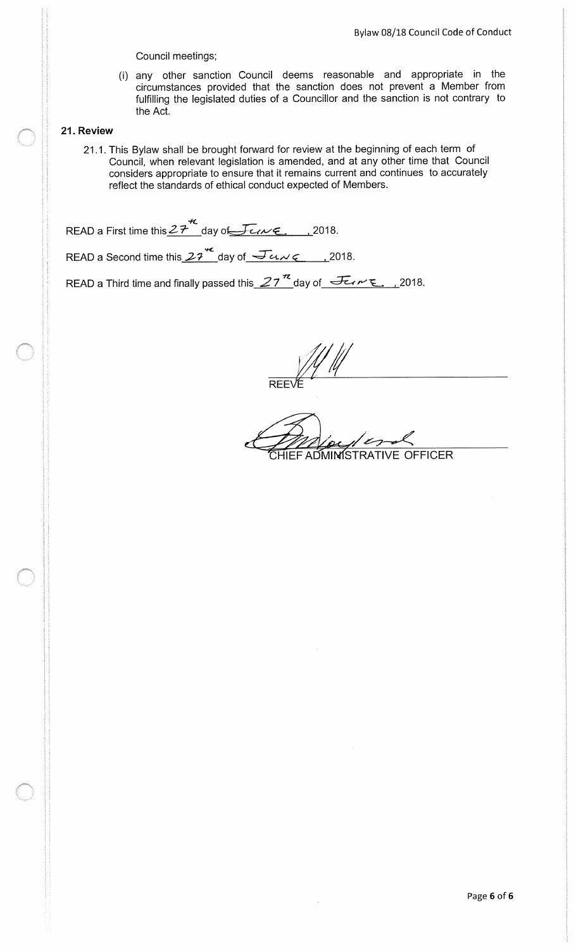Council meetings;

i) any other sanction Council deems reasonable and appropriate in the circumstances provided that the sanction does not prevent a Member from fulfilling the legislated duties of a Councillor and the sanction is not contrary to the Act.

# 21. Review

21.1. This Bylaw shall be brought forward for review at the beginning of each term of Council, when relevant legislation is amended, and at any other time that Council considers appropriate to ensure that it remains current and continues to accurately reflect the standards of ethical conduct expected of Members.

READ a First time this  $27 \times$  day of Few E., 2018.

READ a Second time this  $27^{42}$  day of  $\sqrt{2}u \sqrt{\epsilon}$ , 2018.

READ a Third time and finally passed this  $27^{\frac{1}{2}}$  day of  $\sqrt{2\epsilon_0\epsilon_1\epsilon_2\epsilon_3\epsilon_4}$ , 2018.

REE

ADMINISTRATIVE OFFICER